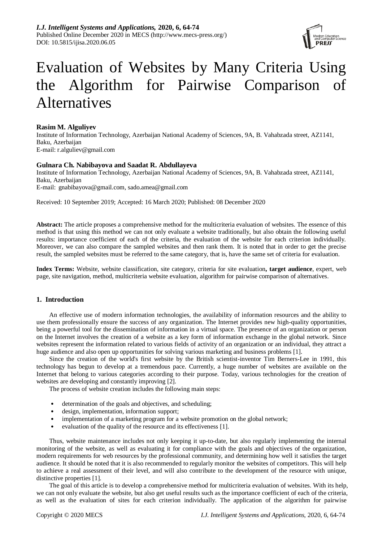

# Evaluation of Websites by Many Criteria Using the Algorithm for Pairwise Comparison of Alternatives

## **Rasim M. Alguliyev**

Institute of Information Technology, Azerbaijan National Academy of Sciences, 9A, B. Vahabzada street, AZ1141, Baku, Azerbaijan E-mail: r.alguliev@gmail.com

## **Gulnara Ch. Nabibayova and Saadat R. Abdullayeva**

Institute of Information Technology, Azerbaijan National Academy of Sciences, 9A, B. Vahabzada street, AZ1141, Baku, Azerbaijan E-mail: gnabibayova@gmail.com, sado.amea@gmail.com

Received: 10 September 2019; Accepted: 16 March 2020; Published: 08 December 2020

**Abstract:** The article proposes a comprehensive method for the multicriteria evaluation of websites. The essence of this method is that using this method we can not only evaluate a website traditionally, but also obtain the following useful results: importance coefficient of each of the criteria, the evaluation of the website for each criterion individually. Moreover, we can also compare the sampled websites and then rank them. It is noted that in order to get the precise result, the sampled websites must be referred to the same category, that is, have the same set of criteria for evaluation.

**Index Terms:** Website, website classification, site category, criteria for site evaluation**, target audience**, expert, web page, site navigation, method, multicriteria website evaluation, algorithm for pairwise comparison of alternatives.

## **1. Introduction**

An effective use of modern information technologies, the availability of information resources and the ability to use them professionally ensure the success of any organization. The Internet provides new high-quality opportunities, being a powerful tool for the dissemination of information in a virtual space. The presence of an organization or person on the Internet involves the creation of a website as a key form of information exchange in the global network. Since websites represent the information related to various fields of activity of an organization or an individual, they attract a huge audience and also open up opportunities for solving various marketing and business problems [1].

Since the creation of the world's first website by the British scientist-inventor Tim Berners-Lee in 1991, this technology has begun to develop at a tremendous pace. Currently, a huge number of websites are available on the Internet that belong to various categories according to their purpose. Today, various technologies for the creation of websites are developing and constantly improving [2].

The process of website creation includes the following main steps:

- determination of the goals and objectives, and scheduling;
- design, implementation, information support;
- implementation of a marketing program for a website promotion on the global network;
- evaluation of the quality of the resource and its effectiveness [1].

Thus, website maintenance includes not only keeping it up-to-date, but also regularly implementing the internal monitoring of the website, as well as evaluating it for compliance with the goals and objectives of the organization, modern requirements for web resources by the professional community, and determining how well it satisfies the target audience. It should be noted that it is also recommended to regularly monitor the websites of competitors. This will help to achieve a real assessment of their level, and will also contribute to the development of the resource with unique, distinctive properties [1].

The goal of this article is to develop a comprehensive method for multicriteria evaluation of websites. With its help, we can not only evaluate the website, but also get useful results such as the importance coefficient of each of the criteria, as well as the evaluation of sites for each criterion individually. The application of the algorithm for pairwise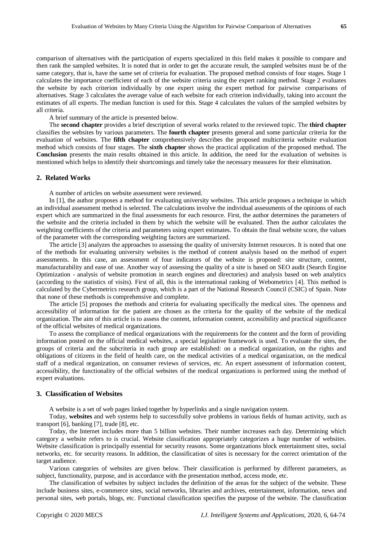comparison of alternatives with the participation of experts specialized in this field makes it possible to compare and then rank the sampled websites. It is noted that in order to get the accurate result, the sampled websites must be of the same category, that is, have the same set of criteria for evaluation. The proposed method consists of four stages. Stage 1 calculates the importance coefficient of each of the website criteria using the expert ranking method. Stage 2 evaluates the website by each criterion individually by one expert using the expert method for pairwise comparisons of alternatives. Stage 3 calculates the average value of each website for each criterion individually, taking into account the estimates of all experts. The median function is used for this. Stage 4 calculates the values of the sampled websites by all criteria.

A brief summary of the article is presented below.

The **second chapter** provides a brief description of several works related to the reviewed topic. The **third chapter** classifies the websites by various parameters. The **fourth chapter** presents general and some particular criteria for the evaluation of websites. The **fifth chapter** comprehensively describes the proposed multicriteria website evaluation method which consists of four stages. The **sixth chapter** shows the practical application of the proposed method. The **Conclusion** presents the main results obtained in this article. In addition, the need for the evaluation of websites is mentioned which helps to identify their shortcomings and timely take the necessary measures for their elimination.

#### **2. Related Works**

A number of articles on website assessment were reviewed.

In [1], the author proposes a method for evaluating university websites. This article proposes a technique in which an individual assessment method is selected. The calculations involve the individual assessments of the opinions of each expert which are summarized in the final assessments for each resource. First, the author determines the parameters of the website and the criteria included in them by which the website will be evaluated. Then the author calculates the weighting coefficients of the criteria and parameters using expert estimates. To obtain the final website score, the values of the parameter with the corresponding weighting factors are summarized.

The article [3] analyzes the approaches to assessing the quality of university Internet resources. It is noted that one of the methods for evaluating university websites is the method of content analysis based on the method of expert assessments. In this case, an assessment of four indicators of the website is proposed: site structure, content, manufacturability and ease of use. Another way of assessing the quality of a site is based on SEO audit (Search Engine Optimization - analysis of website promotion in search engines and directories) and analysis based on web analytics (according to the statistics of visits). First of all, this is the international ranking of Webometrics [4]. This method is calculated by the Cybermetrics research group, which is a part of the National Research Council (CSIC) of Spain. Note that none of these methods is comprehensive and complete.

The article [5] proposes the methods and criteria for evaluating specifically the medical sites. The openness and accessibility of information for the patient are chosen as the criteria for the quality of the website of the medical organization. The aim of this article is to assess the content, information content, accessibility and practical significance of the official websites of medical organizations.

To assess the compliance of medical organizations with the requirements for the content and the form of providing information posted on the official medical websites, a special legislative framework is used. To evaluate the sites, the groups of criteria and the subcriteria in each group are established: on a medical organization, on the rights and obligations of citizens in the field of health care, on the medical activities of a medical organization, on the medical staff of a medical organization, on consumer reviews of services, etc. An expert assessment of information content, accessibility, the functionality of the official websites of the medical organizations is performed using the method of expert evaluations.

### **3. Classification of Websites**

A website is a set of web pages linked together by hyperlinks and a single navigation system.

Today, **websites** and web systems help to successfully solve problems in various fields of human activity, such as transport [6], banking [7], trade [8], etc.

Today, the Internet includes more than 5 billion websites. Their number increases each day. Determining which category a website refers to is crucial. Website classification appropriately categorizes a huge number of websites. Website classification is principally essential for security reasons. Some organizations block entertainment sites, social networks, etc. for security reasons. In addition, the classification of sites is necessary for the correct orientation of the target audience.

Various categories of websites are given below. Their classification is performed by different parameters, as subject, functionality, purpose, and in accordance with the presentation method, access mode, etc.

The classification of websites by subject includes the definition of the areas for the subject of the website. These include business sites, e-commerce sites, social networks, libraries and archives, entertainment, information, news and personal sites, web portals, blogs, etc. Functional classification specifies the purpose of the website. The classification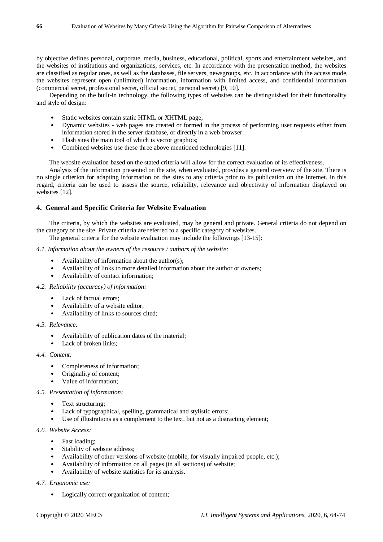by objective defines personal, corporate, media, business, educational, political, sports and entertainment websites, and the websites of institutions and organizations, services, etc. In accordance with the presentation method, the websites are classified as regular ones, as well as the databases, file servers, newsgroups, etc. In accordance with the access mode, the websites represent open (unlimited) information, information with limited access, and confidential information (commercial secret, professional secret, official secret, personal secret) [9, 10].

Depending on the built-in technology, the following types of websites can be distinguished for their functionality and style of design:

- Static websites contain static HTML or XHTML page:
- Dynamic websites web pages are created or formed in the process of performing user requests either from information stored in the server database, or directly in a web browser.
- Flash sites the main tool of which is vector graphics;
- Combined websites use these three above mentioned technologies [11].

The website evaluation based on the stated criteria will allow for the correct evaluation of its effectiveness.

Analysis of the information presented on the site, when evaluated, provides a general overview of the site. There is no single criterion for adapting information on the sites to any criteria prior to its publication on the Internet. In this regard, criteria can be used to assess the source, reliability, relevance and objectivity of information displayed on websites [12].

## **4. General and Specific Criteria for Website Evaluation**

The criteria, by which the websites are evaluated, may be general and private. General criteria do not depend on the category of the site. Private criteria are referred to a specific category of websites.

The general criteria for the website evaluation may include the followings [13-15]:

## *4.1. Information about the owners of the resource / authors of the website:*

- Availability of information about the author(s);
- Availability of links to more detailed information about the author or owners;
- Availability of contact information;

#### *4.2. Reliability (accuracy) of information:*

- Lack of factual errors:
- Availability of a website editor;
- Availability of links to sources cited;

## *4.3. Relevance:*

- Availability of publication dates of the material;
- Lack of broken links:

#### *4.4. Content:*

- Completeness of information;
- Originality of content;
- Value of information:

#### *4.5. Presentation of information:*

- Text structuring;
- Lack of typographical, spelling, grammatical and stylistic errors;
- Use of illustrations as a complement to the text, but not as a distracting element;

## *4.6. Website Access:*

- Fast loading;
- Stability of website address;
- Availability of other versions of website (mobile, for visually impaired people, etc.);
- Availability of information on all pages (in all sections) of website;
- Availability of website statistics for its analysis.

## *4.7. Ergonomic use:*

• Logically correct organization of content;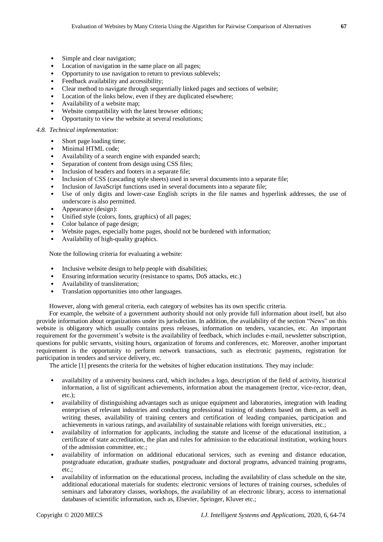- Simple and clear navigation;
- Location of navigation in the same place on all pages;
- Opportunity to use navigation to return to previous sublevels;
- Feedback availability and accessibility;
- Clear method to navigate through sequentially linked pages and sections of website;
- Location of the links below, even if they are duplicated elsewhere;
- Availability of a website map;
- Website compatibility with the latest browser editions;
- Opportunity to view the website at several resolutions;

### *4.8. Technical implementation:*

- Short page loading time;
- Minimal HTML code;
- Availability of a search engine with expanded search;
- Separation of content from design using CSS files;
- Inclusion of headers and footers in a separate file;
- Inclusion of CSS (cascading style sheets) used in several documents into a separate file;
- Inclusion of JavaScript functions used in several documents into a separate file;
- Use of only digits and lower-case English scripts in the file names and hyperlink addresses, the use of underscore is also permitted.
- Appearance (design):
- Unified style (colors, fonts, graphics) of all pages;
- Color balance of page design:
- Website pages, especially home pages, should not be burdened with information;
- Availability of high-quality graphics.

Note the following criteria for evaluating a website:

- Inclusive website design to help people with disabilities;
- Ensuring information security (resistance to spams, DoS attacks, etc.)
- Availability of transliteration;
- Translation opportunities into other languages.

However, along with general criteria, each category of websites has its own specific criteria.

For example, the website of a government authority should not only provide full information about itself, but also provide information about organizations under its jurisdiction. In addition, the availability of the section "News" on this website is obligatory which usually contains press releases, information on tenders, vacancies, etc. An important requirement for the government's website is the availability of feedback, which includes e-mail, newsletter subscription, questions for public servants, visiting hours, organization of forums and conferences, etc. Moreover, another important requirement is the opportunity to perform network transactions, such as electronic payments, registration for participation in tenders and service delivery, etc.

The article [1] presents the criteria for the websites of higher education institutions. They may include:

- availability of a university business card, which includes a logo, description of the field of activity, historical information, a list of significant achievements, information about the management (rector, vice-rector, dean, etc.);
- availability of distinguishing advantages such as unique equipment and laboratories, integration with leading enterprises of relevant industries and conducting professional training of students based on them, as well as writing theses, availability of training centers and certification of leading companies, participation and achievements in various ratings, and availability of sustainable relations with foreign universities, etc.;
- availability of information for applicants, including the statute and license of the educational institution, a certificate of state accreditation, the plan and rules for admission to the educational institution, working hours of the admission committee, etc.;
- availability of information on additional educational services, such as evening and distance education, postgraduate education, graduate studies, postgraduate and doctoral programs, advanced training programs, etc.;
- availability of information on the educational process, including the availability of class schedule on the site, additional educational materials for students: electronic versions of lectures of training courses, schedules of seminars and laboratory classes, workshops, the availability of an electronic library, access to international databases of scientific information, such as, Elsevier, Springer, Kluver etc.;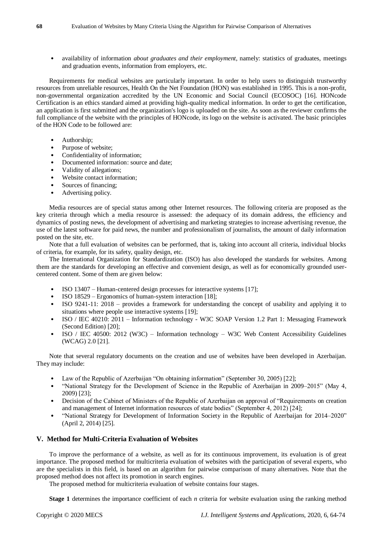• availability of information *about graduates and their employment*, namely: statistics of graduates, meetings and graduation events, information from employers, etc.

Requirements for medical websites are particularly important. In order to help users to distinguish trustworthy resources from unreliable resources, Health On the Net Foundation (HON) was established in 1995. This is a non-profit, non-governmental organization accredited by the UN Economic and Social Council (ECOSOC) [16]. HONcode Certification is an ethics standard aimed at providing high-quality medical information. In order to get the certification, an application is first submitted and the organization's logo is uploaded on the site. As soon as the reviewer confirms the full compliance of the website with the principles of HONcode, its logo on the website is activated. The basic principles of the HON Code to be followed are:

- Authorship;
- Purpose of website;
- Confidentiality of information;
- Documented information: source and date;
- Validity of allegations;
- Website contact information;
- Sources of financing;
- Advertising policy.

Media resources are of special status among other Internet resources. The following criteria are proposed as the key criteria through which a media resource is assessed: the adequacy of its domain address, the efficiency and dynamics of posting news, the development of advertising and marketing strategies to increase advertising revenue, the use of the latest software for paid news, the number and professionalism of journalists, the amount of daily information posted on the site, etc.

Note that a full evaluation of websites can be performed, that is, taking into account all criteria, individual blocks of criteria, for example, for its safety, quality design, etc.

The International Organization for Standardization (ISO) has also developed the standards for websites. Among them are the standards for developing an effective and convenient design, as well as for economically grounded usercentered content. Some of them are given below:

- ISO 13407 Human-centered design processes for interactive systems [17];
- ISO 18529 Ergonomics of human-system interaction [18];
- ISO 9241-11: 2018 provides a framework for understanding the concept of usability and applying it to situations where people use interactive systems [19];
- ISO / IEC 40210: 2011 Information technology W3C SOAP Version 1.2 Part 1: Messaging Framework (Second Edition) [20];
- ISO / IEC 40500: 2012 (W3C) Information technology W3C Web Content Accessibility Guidelines (WCAG) 2.0 [21].

Note that several regulatory documents on the creation and use of websites have been developed in Azerbaijan. They may include:

- Law of the Republic of Azerbaijan "On obtaining information" (September 30, 2005) [22];
- "National Strategy for the Development of Science in the Republic of Azerbaijan in 2009–2015" (May 4, 2009) [23];
- Decision of the Cabinet of Ministers of the Republic of Azerbaijan on approval of "Requirements on creation and management of Internet information resources of state bodies" (September 4, 2012) [24];
- "National Strategy for Development of Information Society in the Republic of Azerbaijan for 2014–2020" (April 2, 2014) [25].

## **V. Method for Multi-Criteria Evaluation of Websites**

To improve the performance of a website, as well as for its continuous improvement, its evaluation is of great importance. The proposed method for multicriteria evaluation of websites with the participation of several experts, who are the specialists in this field, is based on an algorithm for pairwise comparison of many alternatives. Note that the proposed method does not affect its promotion in search engines.

The proposed method for multicriteria evaluation of website contains four stages.

**Stage 1** determines the importance coefficient of each *n* criteria for website evaluation using the ranking method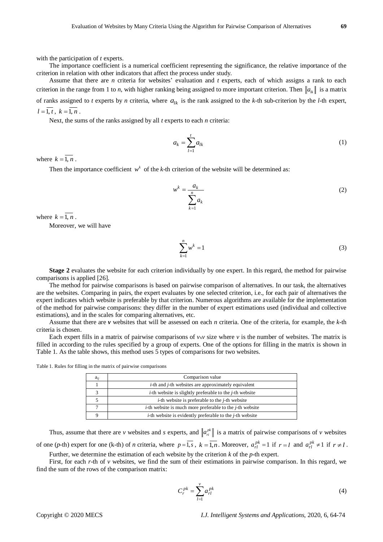with the participation of *t* experts.

The importance coefficient is a numerical coefficient representing the significance, the relative importance of the criterion in relation with other indicators that affect the process under study.

Assume that there are *n* criteria for websites' evaluation and *t* experts, each of which assigns a rank to each criterion in the range from 1 to *n*, with higher ranking being assigned to more important criterion. Then  $\|a_{ik}\|$  is a matrix of ranks assigned to *t* experts by *n* criteria, where  $a_{lk}$  is the rank assigned to the *k*-th sub-criterion by the *l*-th expert,  $l = \overline{1, t}$ ,  $k = \overline{1, n}$ .

Next, the sums of the ranks assigned by all *t* experts to each *n* criteria:

$$
a_k = \sum_{l=1}^t a_{lk} \tag{1}
$$

where  $k = 1, n$ .

Then the importance coefficient  $w^k$  of the *k*-th criterion of the website will be determined as:

$$
w^k = \frac{a_k}{\sum_{k=1}^n a_k} \tag{2}
$$

where  $k = 1, n$ .

Moreover, we will have

$$
\sum_{k=1}^{n} w^k = 1 \tag{3}
$$

**Stage 2** evaluates the website for each criterion individually by one expert. In this regard, the method for pairwise comparisons is applied [26].

The method for pairwise comparisons is based on pairwise comparison of alternatives. In our task, the alternatives are the websites. Comparing in pairs, the expert evaluates by one selected criterion, i.e., for each pair of alternatives the expert indicates which website is preferable by that criterion. Numerous algorithms are available for the implementation of the method for pairwise comparisons: they differ in the number of expert estimations used (individual and collective estimations), and in the scales for comparing alternatives, etc.

Assume that there are *v* websites that will be assessed on each *n* criteria. One of the criteria, for example, the *k*-th criteria is chosen.

Each expert fills in a matrix of pairwise comparisons of *v*x*v* size where *v* is the number of websites. The matrix is filled in according to the rules specified by a group of experts. One of the options for filling in the matrix is shown in Table 1. As the table shows, this method uses 5 types of comparisons for two websites.

Table 1. Rules for filling in the matrix of pairwise comparisons

| $a_{ii}$ | Comparison value                                                         |  |
|----------|--------------------------------------------------------------------------|--|
|          | <i>i</i> -th and <i>j</i> -th websites are approximately equivalent      |  |
|          | $i$ -th website is slightly preferable to the $i$ -th website            |  |
|          | <i>i</i> -th website is preferable to the <i>j</i> -th website           |  |
|          | <i>i</i> -th website is much more preferable to the <i>j</i> -th website |  |
|          | <i>i</i> -th website is evidently preferable to the <i>j</i> -th website |  |

Thus, assume that there are *v* websites and *s* experts, and  $\left\|a_{n}^{pk}\right\|$  is a matrix of pairwise comparisons of *v* websites of one (p-th) expert for one (k-th) of *n* criteria, where  $p = \overline{1, s}$ ,  $k = \overline{1, n}$ . Moreover,  $a_{rl}^{pk} = 1$  if  $r = l$  and  $a_{rl}^{pk} \neq 1$  if  $r \neq l$ .

Further, we determine the estimation of each website by the criterion *k* of the *p*-th expert.

First, for each *r*-th of *v* websites, we find the sum of their estimations in pairwise comparison. In this regard, we find the sum of the rows of the comparison matrix:

$$
C_r^{pk} = \sum_{l=1}^{\nu} a_{rl}^{pk} \tag{4}
$$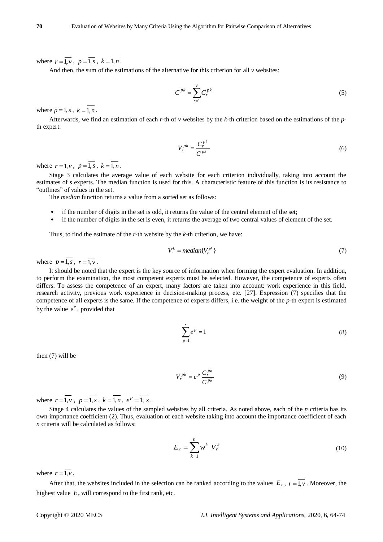where  $r = 1, v, p = 1, s, k = 1, n$ .

And then, the sum of the estimations of the alternative for this criterion for all *v* websites:

$$
C^{pk} = \sum_{r=1}^{v} C_r^{pk} \tag{5}
$$

where  $p = 1, s$ ,  $k = 1, n$ .

Afterwards, we find an estimation of each *r*-th of *v* websites by the *k-*th criterion based on the estimations of the *p*th expert:

$$
V_r^{pk} = \frac{C_r^{pk}}{C^{pk}}
$$
 (6)

where  $r = 1, v, p = 1, s, k = 1, n$ .

Stage 3 calculates the average value of each website for each criterion individually, taking into account the estimates of *s* experts. The median function is used for this. A characteristic feature of this function is its resistance to "outlines" of values in the set.

The *median* function returns a value from a sorted set as follows:

- if the number of digits in the set is odd, it returns the value of the central element of the set;
- if the number of digits in the set is even, it returns the average of two central values of element of the set.

Thus, to find the estimate of the *r*-th website by the *k*-th criterion, we have:

$$
V_r^k = \text{median}\{V_r^{pk}\}\tag{7}
$$

where  $p=1$ , *s*,  $r=1$ , *v*.

It should be noted that the expert is the key source of information when forming the expert evaluation. In addition, to perform the examination, the most competent experts must be selected. However, the competence of experts often differs. To assess the competence of an expert, many factors are taken into account: work experience in this field, research activity, previous work experience in decision-making process, etc. [27]. Expression (7) specifies that the competence of all experts is the same. If the competence of experts differs, i.e. the weight of the *p*-th expert is estimated by the value  $e^P$ , provided that

$$
\sum_{p=1}^{s} e^p = 1\tag{8}
$$

then (7) will be

$$
V_r^{pk} = e^p \frac{C_r^{pk}}{C^{pk}}
$$
 (9)

where  $r = \overline{1, v}$ ,  $p = \overline{1, s}$ ,  $k = \overline{1, n}$ ,  $e^{p} = \overline{1, s}$ .

Stage 4 calculates the values of the sampled websites by all criteria. As noted above, each of the *n* criteria has its own importance coefficient (2). Thus, evaluation of each website taking into account the importance coefficient of each *n* criteria will be calculated as follows:

$$
E_r = \sum_{k=1}^n w^k V_r^k \tag{10}
$$

where  $r = 1, v$ .

After that, the websites included in the selection can be ranked according to the values  $E_r$ ,  $r = 1, v$ . Moreover, the highest value  $E_r$  will correspond to the first rank, etc.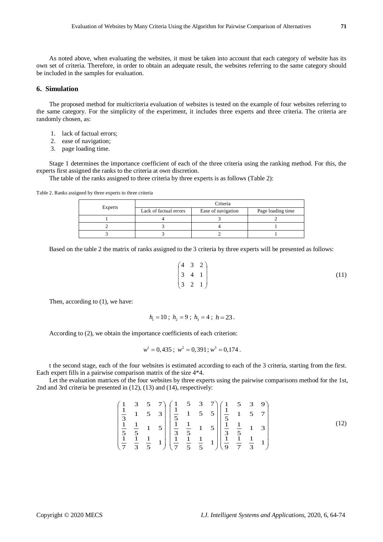As noted above, when evaluating the websites, it must be taken into account that each category of website has its own set of criteria. Therefore, in order to obtain an adequate result, the websites referring to the same category should be included in the samples for evaluation.

## **6. Simulation**

The proposed method for multicriteria evaluation of websites is tested on the example of four websites referring to the same category. For the simplicity of the experiment, it includes three experts and three criteria. The criteria are randomly chosen, as:

- 1. lack of factual errors;
- 2. ease of navigation;
- 3. page loading time.

Stage 1 determines the importance coefficient of each of the three criteria using the ranking method. For this, the experts first assigned the ranks to the criteria at own discretion.

The table of the ranks assigned to three criteria by three experts is as follows (Table 2):

Table 2. Ranks assigned by three experts to three criteria

|         | Criteria               |                    |                   |
|---------|------------------------|--------------------|-------------------|
| Experts | Lack of factual errors | Ease of navigation | Page loading time |
|         |                        |                    |                   |
|         |                        |                    |                   |
|         |                        |                    |                   |

Based on the table 2 the matrix of ranks assigned to the 3 criteria by three experts will be presented as follows:

$$
\begin{pmatrix} 4 & 3 & 2 \\ 3 & 4 & 1 \\ 3 & 2 & 1 \end{pmatrix} (11)
$$

Then, according to (1), we have:

$$
h_1 = 10
$$
;  $h_2 = 9$ ;  $h_3 = 4$ ;  $h = 23$ .

According to (2), we obtain the importance coefficients of each criterion:

$$
w^1 = 0,435
$$
;  $w^2 = 0,391$ ;  $w^3 = 0,174$ .

t the second stage, each of the four websites is estimated according to each of the 3 criteria, starting from the first. Each expert fills in a pairwise comparison matrix of the size 4\*4.

Let the evaluation matriсes of the four websites by three experts using the pairwise comparisons method for the 1st, 2nd and 3rd criteria be presented in (12), (13) and (14), respectively:

$$
\begin{pmatrix}\n1 & 3 & 5 & 7 \\
\frac{1}{3} & 1 & 5 & 3 \\
\frac{1}{3} & \frac{1}{5} & 1 & 5\n\end{pmatrix}\n\begin{pmatrix}\n1 & 5 & 3 & 7 \\
\frac{1}{5} & 1 & 5 & 5 \\
\frac{1}{3} & \frac{1}{5} & 1 & 5\n\end{pmatrix}\n\begin{pmatrix}\n1 & 5 & 3 & 9 \\
\frac{1}{5} & 1 & 5 & 7 \\
\frac{1}{3} & \frac{1}{5} & 1 & 5 \\
\frac{1}{3} & \frac{1}{5} & 1 & 5\n\end{pmatrix}\n\begin{pmatrix}\n1 & 5 & 3 & 9 \\
\frac{1}{5} & 1 & 5 & 7 \\
\frac{1}{3} & \frac{1}{5} & 1 & 3 \\
\frac{1}{3} & \frac{1}{5} & 1 & 3 \\
\frac{1}{9} & \frac{1}{7} & \frac{1}{3} & 1\n\end{pmatrix}
$$
\n(12)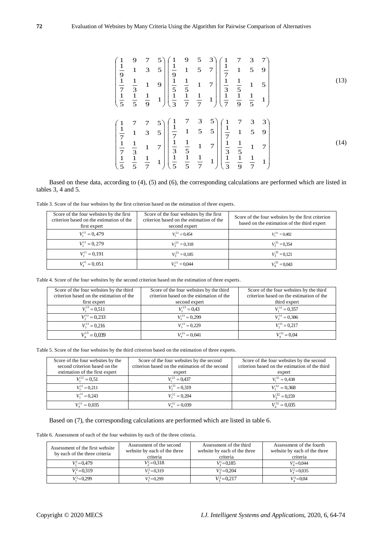$$
\begin{pmatrix}\n1 & 9 & 7 & 5 \\
\frac{1}{9} & 1 & 3 & 5 \\
\frac{1}{7} & \frac{1}{3} & 1 & 9 \\
\frac{1}{5} & \frac{1}{5} & \frac{1}{9} & 1\n\end{pmatrix}\n\begin{pmatrix}\n1 & 9 & 5 & 3 \\
\frac{1}{9} & 1 & 5 & 7 \\
\frac{1}{7} & \frac{1}{3} & 1 & 7 \\
\frac{1}{5} & \frac{1}{5} & \frac{1}{1} & 1 & 7 \\
\frac{1}{3} & \frac{1}{7} & \frac{1}{7} & 1\n\end{pmatrix}\n\begin{pmatrix}\n1 & 7 & 3 & 7 \\
\frac{1}{7} & 1 & 5 & 9 \\
\frac{1}{3} & \frac{1}{5} & 1 & 7 \\
\frac{1}{7} & \frac{1}{9} & \frac{1}{5}\n\end{pmatrix}
$$
\n(13)\n
$$
\begin{pmatrix}\n1 & 7 & 7 & 5 \\
\frac{1}{7} & 1 & 3 & 5 \\
\frac{1}{7} & 1 & 3 & 5 \\
\frac{1}{7} & \frac{1}{3} & 1 & 7 \\
\frac{1}{7} & \frac{1}{3} & \frac{1}{5} & 1 & 7 \\
\frac{1}{3} & \frac{1}{5} & 1 & 7 \\
\frac{1}{5} & \frac{1}{5} & \frac{1}{7} & 1\n\end{pmatrix}\n\begin{pmatrix}\n1 & 7 & 3 & 3 \\
\frac{1}{3} & \frac{1}{5} & 1 & 7 \\
\frac{1}{3} & \frac{1}{5} & 1 & 7 \\
\frac{1}{3} & \frac{1}{9} & 7 & 1\n\end{pmatrix}
$$
\n(14)

Based on these data, according to (4), (5) and (6), the corresponding calculations are performed which are listed in tables 3, 4 and 5.

Table 3. Score of the four websites by the first criterion based on the estimation of three experts.

| Score of the four websites by the first<br>criterion based on the estimation of the<br>first expert | Score of the four websites by the first<br>criterion based on the estimation of the<br>second expert | Score of the four websites by the first criterion<br>based on the estimation of the third expert |
|-----------------------------------------------------------------------------------------------------|------------------------------------------------------------------------------------------------------|--------------------------------------------------------------------------------------------------|
| $V_1^{11} = 0,479$                                                                                  | $V_1^{21} = 0.454$                                                                                   | $V_1^{31} = 0.482$                                                                               |
| $V_2^{11} = 0,279$                                                                                  | $V_2^{21} = 0.318$                                                                                   | $V_2^{31} = 0.354$                                                                               |
| $V_2^{11} = 0.191$                                                                                  | $V_2^{21} = 0.185$                                                                                   | $V_2^{31} = 0.121$                                                                               |
| $V_4^{11} = 0,051$                                                                                  | $V_{4}^{21} = 0.044$                                                                                 | $V_4^{31} = 0.043$                                                                               |

Table 4. Score of the four websites by the second criterion based on the estimation of three experts.

| Score of the four websites by the third<br>criterion based on the estimation of the | Score of the four websites by the third<br>criterion based on the estimation of the | Score of the four websites by the third<br>criterion based on the estimation of the |
|-------------------------------------------------------------------------------------|-------------------------------------------------------------------------------------|-------------------------------------------------------------------------------------|
| first expert                                                                        | second expert                                                                       | third expert                                                                        |
| $V_1^{13} = 0.511$                                                                  | $V^{23} = 0.43$                                                                     | $V_1^{33} = 0,357$                                                                  |
| $V_2^{13} = 0,233$                                                                  | $V_2^{23} = 0,299$                                                                  | $V_2^{33} = 0,386$                                                                  |
| $V_3^{13} = 0,216$                                                                  | $V_2^{23} = 0,229$                                                                  | $V_1^{33} = 0,217$                                                                  |
| $V_4^{13} = 0.039$                                                                  | $V_4^{23} = 0.041$                                                                  | $V_4^{33} = 0.04$                                                                   |

Table 5. Score of the four websites by the third criterion based on the estimation of three experts.

| Score of the four websites by the<br>second criterion based on the | Score of the four websites by the second<br>criterion based on the estimation of the second | Score of the four websites by the second<br>criterion based on the estimation of the third |
|--------------------------------------------------------------------|---------------------------------------------------------------------------------------------|--------------------------------------------------------------------------------------------|
| estimation of the first expert                                     | expert                                                                                      | expert                                                                                     |
| $V_1^{12} = 0.51$                                                  | $V_1^{22} = 0.437$                                                                          | $V_1^{32} = 0,438$                                                                         |
| $V_2^{12} = 0.211$                                                 | $V_2^{22} = 0.319$                                                                          | $V_2^{32} = 0.368$                                                                         |
| $V_2^{12} = 0,243$                                                 | $V_2^{22} = 0,204$                                                                          | $V_3^{32} = 0,159$                                                                         |
| $V_4^{12} = 0.035$                                                 | $V_4^{22} = 0.039$                                                                          | $V_{4}^{32} = 0.035$                                                                       |

Based on (7), the corresponding calculations are performed which are listed in table 6.

Table 6. Assessment of each of the four websites by each of the three criteria.

| Assessment of the first website<br>by each of the three criteria | Assessment of the second<br>website by each of the three<br>criteria | Assessment of the third<br>website by each of the three<br>criteria | Assessment of the fourth<br>website by each of the three<br>criteria |
|------------------------------------------------------------------|----------------------------------------------------------------------|---------------------------------------------------------------------|----------------------------------------------------------------------|
| $V_1 = 0.479$                                                    | $V_3 = 0.318$                                                        | $V_2^1 = 0.185$                                                     | $V_1 = 0.044$                                                        |
| $V_1^2 = 0.319$                                                  | $V_2^2 = 0.319$                                                      | $V_2^2 = 0.204$                                                     | $V_4^2$ = 0,035                                                      |
| $V_1^3 = 0.299$                                                  | $V_2^3 = 0.299$                                                      | $V_2^3 = 0.217$                                                     | $V_1^3 = 0.04$                                                       |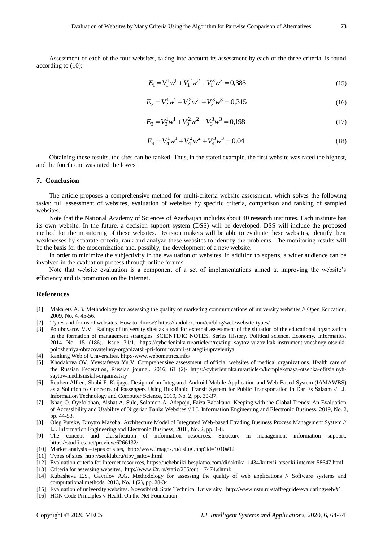Assessment of each of the four websites, taking into account its assessment by each of the three criteria, is found according to (10):

$$
E_1 = V_1^1 w^1 + V_1^2 w^2 + V_1^3 w^3 = 0,385
$$
\n(15)

$$
E_2 = V_2^1 w^1 + V_2^2 w^2 + V_2^3 w^3 = 0,315
$$
 (16)

$$
E_3 = V_3^1 w^1 + V_3^2 w^2 + V_3^3 w^3 = 0.198
$$
\n<sup>(17)</sup>

$$
E_4 = V_4^1 w^1 + V_4^2 w^2 + V_4^3 w^3 = 0.04
$$
\n(18)

Obtaining these results, the sites can be ranked. Thus, in the stated example, the first website was rated the highest, and the fourth one was rated the lowest.

#### **7. Conclusion**

The article proposes a comprehensive method for multi-criteria website assessment, which solves the following tasks: full assessment of websites, evaluation of websites by specific criteria, comparison and ranking of sampled websites.

Note that the National Academy of Sciences of Azerbaijan includes about 40 research institutes. Each institute has its own website. In the future, a decision support system (DSS) will be developed. DSS will include the proposed method for the monitoring of these websites. Decision makers will be able to evaluate these websites, identify their weaknesses by separate criteria, rank and analyze these websites to identify the problems. The monitoring results will be the basis for the modernization and, possibly, the development of a new website.

In order to minimize the subjectivity in the evaluation of websites, in addition to experts, a wider audience can be involved in the evaluation process through online forums.

Note that website evaluation is a component of a set of implementations aimed at improving the website's efficiency and its promotion on the Internet.

#### **References**

- [1] Makarets A.B. Methodology for assessing the quality of marketing communications of university websites // Open Education, 2009, No. 4, 45-56.
- [2] Types and forms of websites. How to choose? https://kodolex.com/en/blog/web/website-types/
- [3] Poluboyarov V.V. Ratings of university sites as a tool for external assessment of the situation of the educational organization in the formation of management strategies. SCIENTIFIC NOTES. Series History. Political science. Economy. Informatics. 2014 No. 15 (186). Issue 31/1. https://cyberleninka.ru/article/n/reytingi-saytov-vuzov-kak-instrument-vneshney-otsenkipolozheniya-obrazovatelnoy-organizatsii-pri-formirovanii-strategii-upravleniya
- [4] Ranking Web of Universities. http://www.webometrics.info/
- [5] Khodakova OV, Yevstafyeva Yu.V. Comprehensive assessment of official websites of medical organizations. Health care of the Russian Federation, Russian journal. 2016; 61 (2)/ https://cyberleninka.ru/article/n/kompleksnaya-otsenka-ofitsialnyhsaytov-meditsinskih-organizatsiy
- [6] Reuben Alfred, Shubi F. Kaijage. Design of an Integrated Android Mobile Application and Web-Based System (IAMAWBS) as a Solution to Concerns of Passengers Using Bus Rapid Transit System for Public Transportation in Dar Es Salaam // I.J. Information Technology and Computer Science, 2019, No. 2, pp. 30-37.
- [7] Ishaq O. Oyefolahan, Aishat A. Sule, Solomon A. Adepoju, Faiza Babakano. Keeping with the Global Trends: An Evaluation of Accessibility and Usability of Nigerian Banks Websites // I.J. Information Engineering and Electronic Business, 2019, No. 2, pp. 44-53.
- [8] Oleg Pursky, Dmytro Mazoha. Architecture Model of Integrated Web-based Etrading Business Process Management System // I.J. Information Engineering and Electronic Business, 2018, No. 2, pp. 1-8.
- [9] The concept and classification of information resources. Structure in management information support, https://studfiles.net/preview/6266132/
- [10] Market analysis types of sites, http://www.imagos.ru/uslugi.php?id=1010#12
- [11] Types of sites, http://seoklub.ru/tipy\_saitov.html
- [12] Evaluation criteria for Internet resources, https://uchebniki-besplatno.com/didaktika\_1434/kriterii-otsenki-internet-58647.html
- [13] Criteria for assessing websites, http://www.i2r.ru/static/255/out\_17474.shtml;
- [14] Kubasheva E.S., Gavrilov A.G. Methodology for assessing the quality of web applications // Software systems and computational methods, 2013, No. 1 (2), pp. 28-34
- [15] Evaluation of university websites. Novosibirsk State Technical University, http://www.nstu.ru/staff/eguide/evaluatingweb/#1
- [16] HON Code Principles // Health On the Net Foundation